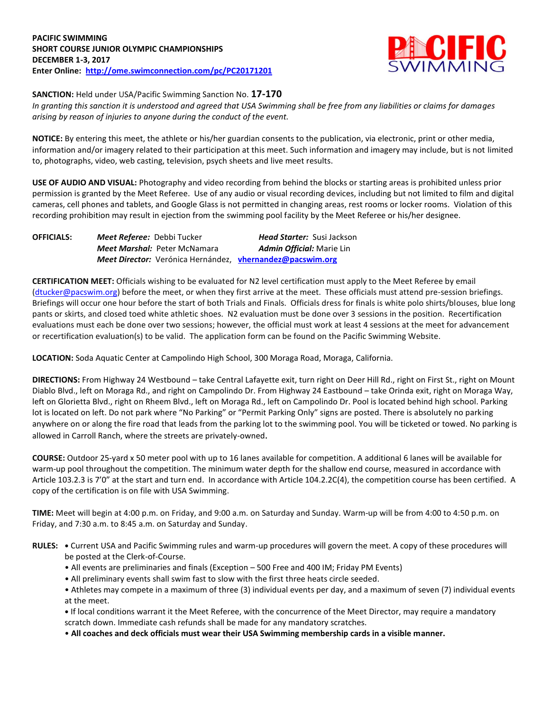

**SANCTION:** Held under USA/Pacific Swimming Sanction No. **17-170**

*In granting this sanction it is understood and agreed that USA Swimming shall be free from any liabilities or claims for damages arising by reason of injuries to anyone during the conduct of the event.*

**NOTICE:** By entering this meet, the athlete or his/her guardian consents to the publication, via electronic, print or other media, information and/or imagery related to their participation at this meet. Such information and imagery may include, but is not limited to, photographs, video, web casting, television, psych sheets and live meet results.

**USE OF AUDIO AND VISUAL:** Photography and video recording from behind the blocks or starting areas is prohibited unless prior permission is granted by the Meet Referee. Use of any audio or visual recording devices, including but not limited to film and digital cameras, cell phones and tablets, and Google Glass is not permitted in changing areas, rest rooms or locker rooms. Violation of this recording prohibition may result in ejection from the swimming pool facility by the Meet Referee or his/her designee.

| <b>OFFICIALS:</b> | Meet Referee: Debbi Tucker                                | <b>Head Starter: Susi Jackson</b> |
|-------------------|-----------------------------------------------------------|-----------------------------------|
|                   | Meet Marshal: Peter McNamara                              | <b>Admin Official:</b> Marie Lin  |
|                   | Meet Director: Verónica Hernández, vhernandez@pacswim.org |                                   |

**CERTIFICATION MEET:** Officials wishing to be evaluated for N2 level certification must apply to the Meet Referee by email [\(dtucker@pacswim.org\)](mailto:dtucker@pacswim.org) before the meet, or when they first arrive at the meet. These officials must attend pre-session briefings. Briefings will occur one hour before the start of both Trials and Finals. Officials dress for finals is white polo shirts/blouses, blue long pants or skirts, and closed toed white athletic shoes. N2 evaluation must be done over 3 sessions in the position. Recertification evaluations must each be done over two sessions; however, the official must work at least 4 sessions at the meet for advancement or recertification evaluation(s) to be valid. The application form can be found on the Pacific Swimming Website.

**LOCATION:** Soda Aquatic Center at Campolindo High School, 300 Moraga Road, Moraga, California.

**DIRECTIONS:** From Highway 24 Westbound – take Central Lafayette exit, turn right on Deer Hill Rd., right on First St., right on Mount Diablo Blvd., left on Moraga Rd., and right on Campolindo Dr. From Highway 24 Eastbound – take Orinda exit, right on Moraga Way, left on Glorietta Blvd., right on Rheem Blvd., left on Moraga Rd., left on Campolindo Dr. Pool is located behind high school. Parking lot is located on left. Do not park where "No Parking" or "Permit Parking Only" signs are posted. There is absolutely no parking anywhere on or along the fire road that leads from the parking lot to the swimming pool. You will be ticketed or towed. No parking is allowed in Carroll Ranch, where the streets are privately-owned.

**COURSE:** Outdoor 25-yard x 50 meter pool with up to 16 lanes available for competition. A additional 6 lanes will be available for warm-up pool throughout the competition. The minimum water depth for the shallow end course, measured in accordance with Article 103.2.3 is 7'0" at the start and turn end. In accordance with Article 104.2.2C(4), the competition course has been certified. A copy of the certification is on file with USA Swimming.

**TIME:** Meet will begin at 4:00 p.m. on Friday, and 9:00 a.m. on Saturday and Sunday. Warm-up will be from 4:00 to 4:50 p.m. on Friday, and 7:30 a.m. to 8:45 a.m. on Saturday and Sunday.

- **RULES: •** Current USA and Pacific Swimming rules and warm-up procedures will govern the meet. A copy of these procedures will be posted at the Clerk-of-Course.
	- All events are preliminaries and finals (Exception 500 Free and 400 IM; Friday PM Events)
	- All preliminary events shall swim fast to slow with the first three heats circle seeded.

• Athletes may compete in a maximum of three (3) individual events per day, and a maximum of seven (7) individual events at the meet.

**•** If local conditions warrant it the Meet Referee, with the concurrence of the Meet Director, may require a mandatory scratch down. Immediate cash refunds shall be made for any mandatory scratches.

• **All coaches and deck officials must wear their USA Swimming membership cards in a visible manner.**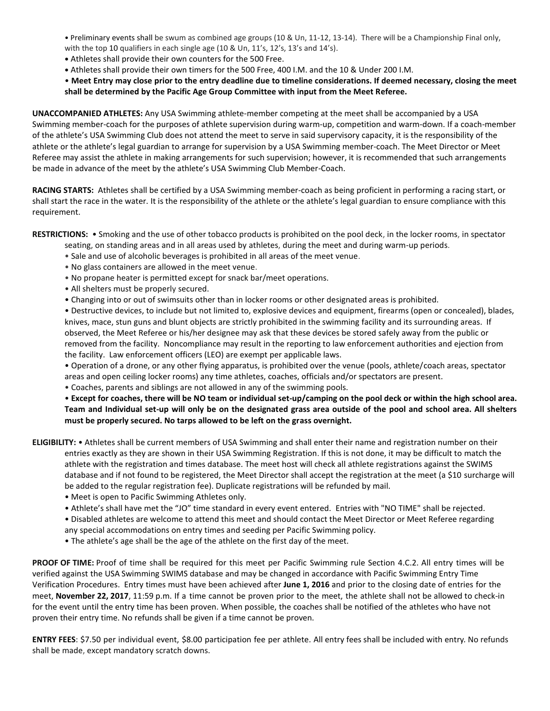• Preliminary events shall be swum as combined age groups (10 & Un, 11-12, 13-14). There will be a Championship Final only, with the top 10 qualifiers in each single age (10 & Un, 11's, 12's, 13's and 14's).

- **•** Athletes shall provide their own counters for the 500 Free.
- **•** Athletes shall provide their own timers for the 500 Free, 400 I.M. and the 10 & Under 200 I.M.

• **Meet Entry may close prior to the entry deadline due to timeline considerations. If deemed necessary, closing the meet shall be determined by the Pacific Age Group Committee with input from the Meet Referee.**

**UNACCOMPANIED ATHLETES:** Any USA Swimming athlete-member competing at the meet shall be accompanied by a USA Swimming member-coach for the purposes of athlete supervision during warm-up, competition and warm-down. If a coach-member of the athlete's USA Swimming Club does not attend the meet to serve in said supervisory capacity, it is the responsibility of the athlete or the athlete's legal guardian to arrange for supervision by a USA Swimming member-coach. The Meet Director or Meet Referee may assist the athlete in making arrangements for such supervision; however, it is recommended that such arrangements be made in advance of the meet by the athlete's USA Swimming Club Member-Coach.

**RACING STARTS:** Athletes shall be certified by a USA Swimming member-coach as being proficient in performing a racing start, or shall start the race in the water. It is the responsibility of the athlete or the athlete's legal guardian to ensure compliance with this requirement.

**RESTRICTIONS:** • Smoking and the use of other tobacco products is prohibited on the pool deck, in the locker rooms, in spectator

- seating, on standing areas and in all areas used by athletes, during the meet and during warm-up periods.
- Sale and use of alcoholic beverages is prohibited in all areas of the meet venue.
- No glass containers are allowed in the meet venue.
- No propane heater is permitted except for snack bar/meet operations.
- All shelters must be properly secured.
- Changing into or out of swimsuits other than in locker rooms or other designated areas is prohibited.

• Destructive devices, to include but not limited to, explosive devices and equipment, firearms (open or concealed), blades, knives, mace, stun guns and blunt objects are strictly prohibited in the swimming facility and its surrounding areas. If observed, the Meet Referee or his/her designee may ask that these devices be stored safely away from the public or removed from the facility. Noncompliance may result in the reporting to law enforcement authorities and ejection from the facility. Law enforcement officers (LEO) are exempt per applicable laws.

• Operation of a drone, or any other flying apparatus, is prohibited over the venue (pools, athlete/coach areas, spectator areas and open ceiling locker rooms) any time athletes, coaches, officials and/or spectators are present.

• Coaches, parents and siblings are not allowed in any of the swimming pools.

• **Except for coaches, there will be NO team or individual set-up/camping on the pool deck or within the high school area. Team and Individual set-up will only be on the designated grass area outside of the pool and school area. All shelters must be properly secured. No tarps allowed to be left on the grass overnight.**

**ELIGIBILITY:** • Athletes shall be current members of USA Swimming and shall enter their name and registration number on their entries exactly as they are shown in their USA Swimming Registration. If this is not done, it may be difficult to match the athlete with the registration and times database. The meet host will check all athlete registrations against the SWIMS database and if not found to be registered, the Meet Director shall accept the registration at the meet (a \$10 surcharge will be added to the regular registration fee). Duplicate registrations will be refunded by mail.

- Meet is open to Pacific Swimming Athletes only.
- Athlete's shall have met the "JO" time standard in every event entered. Entries with "NO TIME" shall be rejected.
- Disabled athletes are welcome to attend this meet and should contact the Meet Director or Meet Referee regarding any special accommodations on entry times and seeding per Pacific Swimming policy.
- The athlete's age shall be the age of the athlete on the first day of the meet.

**PROOF OF TIME:** Proof of time shall be required for this meet per Pacific Swimming rule Section 4.C.2. All entry times will be verified against the USA Swimming SWIMS database and may be changed in accordance with Pacific Swimming Entry Time Verification Procedures. Entry times must have been achieved after **June 1, 2016** and prior to the closing date of entries for the meet, **November 22, 2017**, 11:59 p.m. If a time cannot be proven prior to the meet, the athlete shall not be allowed to check-in for the event until the entry time has been proven. When possible, the coaches shall be notified of the athletes who have not proven their entry time. No refunds shall be given if a time cannot be proven.

**ENTRY FEES**: \$7.50 per individual event, \$8.00 participation fee per athlete. All entry fees shall be included with entry. No refunds shall be made, except mandatory scratch downs.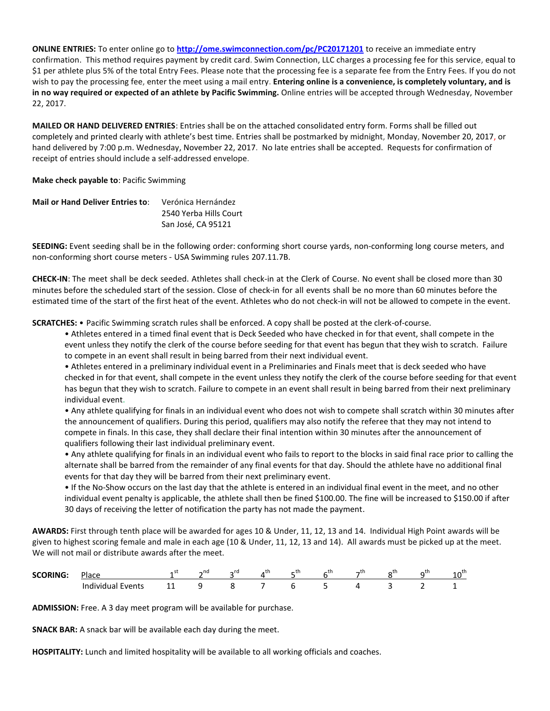**ONLINE ENTRIES:** To enter online go to **<http://ome.swimconnection.com/pc/PC20171201>** to receive an immediate entry confirmation. This method requires payment by credit card. Swim Connection, LLC charges a processing fee for this service, equal to \$1 per athlete plus 5% of the total Entry Fees. Please note that the processing fee is a separate fee from the Entry Fees. If you do not wish to pay the processing fee, enter the meet using a mail entry. **Entering online is a convenience, is completely voluntary, and is in no way required or expected of an athlete by Pacific Swimming.** Online entries will be accepted through Wednesday, November 22, 2017.

**MAILED OR HAND DELIVERED ENTRIES**: Entries shall be on the attached consolidated entry form. Forms shall be filled out completely and printed clearly with athlete's best time. Entries shall be postmarked by midnight, Monday, November 20, 2017, or hand delivered by 7:00 p.m. Wednesday, November 22, 2017. No late entries shall be accepted. Requests for confirmation of receipt of entries should include a self-addressed envelope.

**Make check payable to**: Pacific Swimming

| <b>Mail or Hand Deliver Entries to:</b> | Verónica Hernández     |
|-----------------------------------------|------------------------|
|                                         | 2540 Yerba Hills Court |
|                                         | San José, CA 95121     |

**SEEDING:** Event seeding shall be in the following order: conforming short course yards, non-conforming long course meters, and non-conforming short course meters - USA Swimming rules 207.11.7B.

**CHECK-IN**: The meet shall be deck seeded. Athletes shall check-in at the Clerk of Course. No event shall be closed more than 30 minutes before the scheduled start of the session. Close of check-in for all events shall be no more than 60 minutes before the estimated time of the start of the first heat of the event. Athletes who do not check-in will not be allowed to compete in the event.

**SCRATCHES:** • Pacific Swimming scratch rules shall be enforced. A copy shall be posted at the clerk-of-course.

• Athletes entered in a timed final event that is Deck Seeded who have checked in for that event, shall compete in the event unless they notify the clerk of the course before seeding for that event has begun that they wish to scratch. Failure to compete in an event shall result in being barred from their next individual event.

• Athletes entered in a preliminary individual event in a Preliminaries and Finals meet that is deck seeded who have checked in for that event, shall compete in the event unless they notify the clerk of the course before seeding for that event has begun that they wish to scratch. Failure to compete in an event shall result in being barred from their next preliminary individual event.

• Any athlete qualifying for finals in an individual event who does not wish to compete shall scratch within 30 minutes after the announcement of qualifiers. During this period, qualifiers may also notify the referee that they may not intend to compete in finals. In this case, they shall declare their final intention within 30 minutes after the announcement of qualifiers following their last individual preliminary event.

• Any athlete qualifying for finals in an individual event who fails to report to the blocks in said final race prior to calling the alternate shall be barred from the remainder of any final events for that day. Should the athlete have no additional final events for that day they will be barred from their next preliminary event.

• If the No-Show occurs on the last day that the athlete is entered in an individual final event in the meet, and no other individual event penalty is applicable, the athlete shall then be fined \$100.00. The fine will be increased to \$150.00 if after 30 days of receiving the letter of notification the party has not made the payment.

**AWARDS:** First through tenth place will be awarded for ages 10 & Under, 11, 12, 13 and 14. Individual High Point awards will be given to highest scoring female and male in each age (10 & Under, 11, 12, 13 and 14). All awards must be picked up at the meet. We will not mail or distribute awards after the meet.

| <b>SCORING</b><br>$-$ | Place              | .  | $\sim$ nd | $\sim$ | . LI | t'n<br>- 11 | ÷'n.<br>$-11$ | $-1$ | <b>AU</b> | ∼ | +h |
|-----------------------|--------------------|----|-----------|--------|------|-------------|---------------|------|-----------|---|----|
|                       | Inr<br>.<br>-vents | -- |           |        |      |             |               |      | $-$       |   |    |

**ADMISSION:** Free. A 3 day meet program will be available for purchase.

**SNACK BAR:** A snack bar will be available each day during the meet.

**HOSPITALITY:** Lunch and limited hospitality will be available to all working officials and coaches.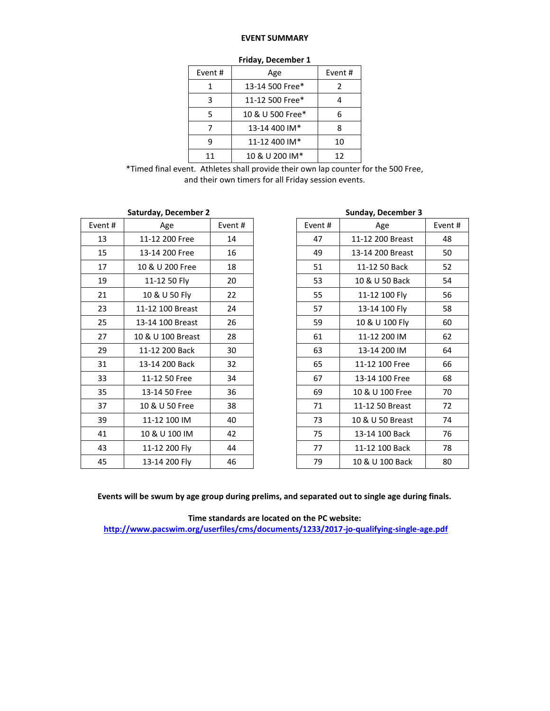## **EVENT SUMMARY**

| THUMY, DUCCHING 1 |                  |         |  |  |  |  |  |
|-------------------|------------------|---------|--|--|--|--|--|
| Event #           | Age              | Event # |  |  |  |  |  |
|                   | 13-14 500 Free*  | 2       |  |  |  |  |  |
| з                 | 11-12 500 Free*  |         |  |  |  |  |  |
| 5                 | 10 & U 500 Free* | 6       |  |  |  |  |  |
|                   | 13-14 400 IM*    | ጸ       |  |  |  |  |  |
|                   | 11-12 400 IM*    | 10      |  |  |  |  |  |
| 11                | 10 & U 200 IM*   | 12      |  |  |  |  |  |

|  | Friday, December 1 |  |
|--|--------------------|--|
|--|--------------------|--|

\*Timed final event. Athletes shall provide their own lap counter for the 500 Free, and their own timers for all Friday session events.

|        | Saturday, December 2 |         |         | <b>Sunday, December 3</b> |
|--------|----------------------|---------|---------|---------------------------|
| Event# | Age                  | Event # | Event # | Age                       |
| 13     | 11-12 200 Free       | 14      | 47      | 11-12 200 Breast          |
| 15     | 13-14 200 Free       | 16      | 49      | 13-14 200 Breast          |
| 17     | 10 & U 200 Free      | 18      | 51      | 11-12 50 Back             |
| 19     | 11-12 50 Fly         | 20      | 53      | 10 & U 50 Back            |
| 21     | 10 & U 50 Fly        | 22      | 55      | 11-12 100 Fly             |
| 23     | 11-12 100 Breast     | 24      | 57      | 13-14 100 Fly             |
| 25     | 13-14 100 Breast     | 26      | 59      | 10 & U 100 Fly            |
| 27     | 10 & U 100 Breast    | 28      | 61      | 11-12 200 IM              |
| 29     | 11-12 200 Back       | 30      | 63      | 13-14 200 IM              |
| 31     | 13-14 200 Back       | 32      | 65      | 11-12 100 Free            |
| 33     | 11-12 50 Free        | 34      | 67      | 13-14 100 Free            |
| 35     | 13-14 50 Free        | 36      | 69      | 10 & U 100 Free           |
| 37     | 10 & U 50 Free       | 38      | 71      | 11-12 50 Breast           |
| 39     | 11-12 100 IM         | 40      | 73      | 10 & U 50 Breast          |
| 41     | 10 & U 100 IM        | 42      | 75      | 13-14 100 Back            |
| 43     | 11-12 200 Fly        | 44      | 77      | 11-12 100 Back            |
| 45     | 13-14 200 Fly        | 46      | 79      | 10 & U 100 Back           |

|         | <b>Saturday, December 2</b> |        |        | <b>Sunday, December 3</b> |    |
|---------|-----------------------------|--------|--------|---------------------------|----|
| Event # | Age                         | Event# | Event# | Age                       |    |
| 13      | 11-12 200 Free              | 14     | 47     | 11-12 200 Breast          | 48 |
| 15      | 13-14 200 Free              | 16     | 49     | 13-14 200 Breast          | 50 |
| 17      | 10 & U 200 Free             | 18     | 51     | 11-12 50 Back             | 52 |
| 19      | 11-12 50 Fly                | 20     | 53     | 10 & U 50 Back            | 54 |
| 21      | 10 & U 50 Fly               | 22     | 55     | 11-12 100 Fly             | 56 |
| 23      | 11-12 100 Breast            | 24     | 57     | 13-14 100 Fly             | 58 |
| 25      | 13-14 100 Breast            | 26     | 59     | 10 & U 100 Fly            | 60 |
| 27      | 10 & U 100 Breast           | 28     | 61     | 11-12 200 IM              | 62 |
| 29      | 11-12 200 Back              | 30     | 63     | 13-14 200 IM              | 64 |
| 31      | 13-14 200 Back              | 32     | 65     | 11-12 100 Free            | 66 |
| 33      | 11-12 50 Free               | 34     | 67     | 13-14 100 Free            | 68 |
| 35      | 13-14 50 Free               | 36     | 69     | 10 & U 100 Free           | 70 |
| 37      | 10 & U 50 Free              | 38     | 71     | 11-12 50 Breast           | 72 |
| 39      | 11-12 100 IM                | 40     | 73     | 10 & U 50 Breast          | 74 |
| 41      | 10 & U 100 IM               | 42     | 75     | 13-14 100 Back            | 76 |
| 43      | 11-12 200 Fly               | 44     | 77     | 11-12 100 Back            | 78 |
| 45      | 13-14 200 Fly               | 46     | 79     | 10 & U 100 Back           | 80 |

**Events will be swum by age group during prelims, and separated out to single age during finals.**

**Time standards are located on the PC website: <http://www.pacswim.org/userfiles/cms/documents/1233/2017-jo-qualifying-single-age.pdf>**